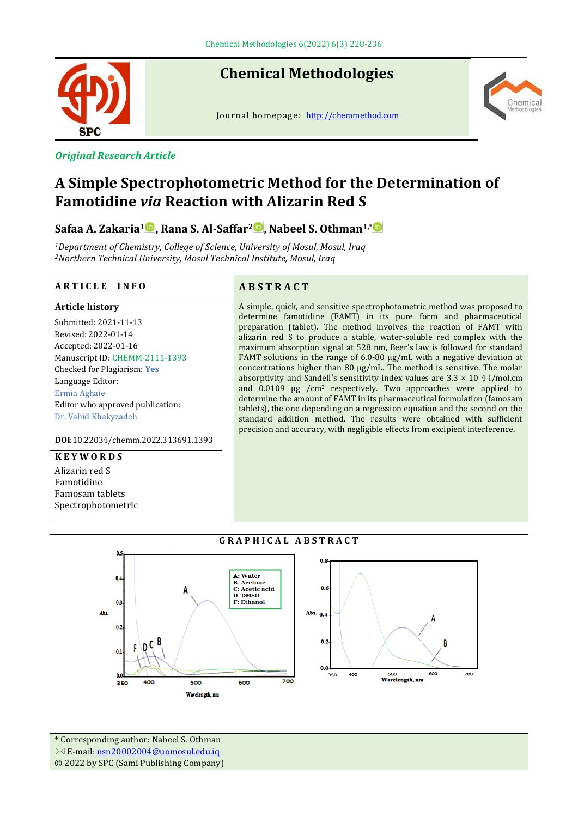

# **Chemical Methodologies**

Journal homepage: [http://chemmethod.com](http://chemmethod.com/)



# *Original Research Article*

# **A Simple Spectrophotometric Method for the Determination of Famotidine** *via* **Reaction with Alizarin Red S**

**Safaa A. Zakaria<sup>1</sup> , Rana S. Al-Saffar<sup>2</sup> , Nabeel S. Othman1,\***

*<sup>1</sup>Department of Chemistry, College of Science, University of Mosul, Mosul, Iraq <sup>2</sup>Northern Technical University, Mosul Technical Institute, Mosul, Iraq*

#### **A R T I C L E I N F O A B S T R A C T**

#### **Article history**

Submitted: 2021-11-13 Revised: 2022-01-14 Accepted: 2022-01-16 Manuscript ID: CHEMM-2111-1393 Checked for Plagiarism: **Yes** Language Editor: Ermia Aghaie Editor who approved publication: Dr. Vahid Khakyzadeh

**DOI**:10.22034/chemm.2022.313691.1393

#### **K E Y W O R D S**

Alizarin red S Famotidine Famosam tablets Spectrophotometric



A simple, quick, and sensitive spectrophotometric method was proposed to determine famotidine (FAMT) in its pure form and pharmaceutical preparation (tablet). The method involves the reaction of FAMT with alizarin red S to produce a stable, water-soluble red complex with the maximum absorption signal at 528 nm, Beer's law is followed for standard FAMT solutions in the range of 6.0-80 µg/mL with a negative deviation at concentrations higher than 80 µg/mL. The method is sensitive. The molar absorptivity and Sandell's sensitivity index values are  $3.3 \times 10$  4 l/mol.cm and 0.0109 µg /cm<sup>2</sup> respectively. Two approaches were applied to determine the amount of FAMT in its pharmaceutical formulation (famosam tablets), the one depending on a regression equation and the second on the standard addition method. The results were obtained with sufficient precision and accuracy, with negligible effects from excipient interference.



\* Corresponding author: Nabeel S. Othman E-mail[: nsn20002004@uomosul.edu.iq](mailto:nsn20002004@uomosul.edu.iq) © 2022 by SPC (Sami Publishing Company)

# **G R A P H I C A L A B S T R A C T**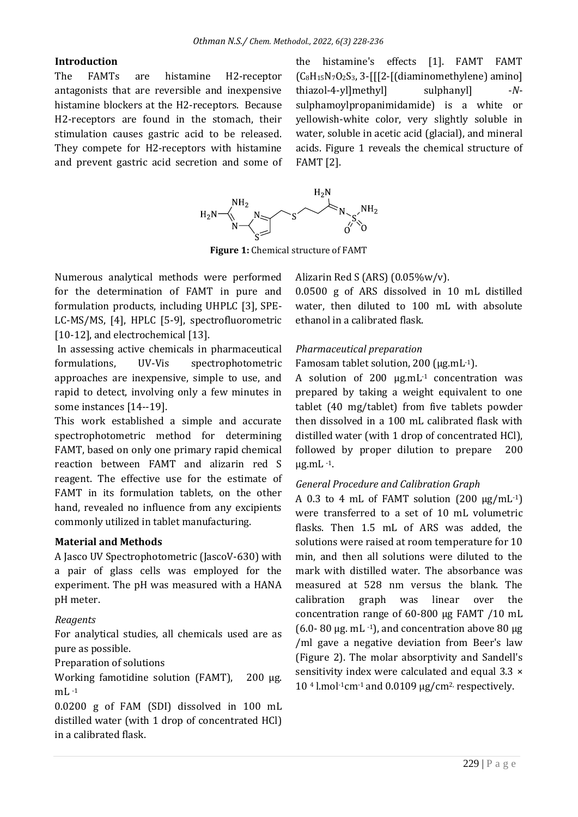#### **Introduction**

The FAMTs are histamine H2-receptor antagonists that are reversible and inexpensive histamine blockers at the H2-receptors. Because H2-receptors are found in the stomach, their stimulation causes gastric acid to be released. They compete for H2-receptors with histamine and prevent gastric acid secretion and some of the histamine's effects [1]. FAMT FAMT  $(C_8H_{15}N_7O_2S_3, 3-[[2-[(diaminometrylene)]$  amino] thiazol-4-yl]methyl] sulphanyl] -*N*sulphamoylpropanimidamide) is a white or yellowish-white color, very slightly soluble in water, soluble in acetic acid (glacial), and mineral acids. Figure 1 reveals the chemical structure of FAMT [2].



**Figure 1:** Chemical structure of FAMT

Numerous analytical methods were performed for the determination of FAMT in pure and formulation products, including UHPLC [3], SPE-LC-MS/MS, [4], HPLC [5-9], spectrofluorometric [10-12], and electrochemical [13].

In assessing active chemicals in pharmaceutical formulations, UV-Vis spectrophotometric approaches are inexpensive, simple to use, and rapid to detect, involving only a few minutes in some instances [14--19].

This work established a simple and accurate spectrophotometric method for determining FAMT, based on only one primary rapid chemical reaction between FAMT and alizarin red S reagent. The effective use for the estimate of FAMT in its formulation tablets, on the other hand, revealed no influence from any excipients commonly utilized in tablet manufacturing.

### **Material and Methods**

A Jasco UV Spectrophotometric (JascoV-630) with a pair of glass cells was employed for the experiment. The pH was measured with a HANA pH meter.

### *Reagents*

For analytical studies, all chemicals used are as pure as possible.

Preparation of solutions

Working famotidine solution (FAMT), 200 μg.  $mL -1$ 

0.0200 g of FAM (SDI) dissolved in 100 mL distilled water (with 1 drop of concentrated HCl) in a calibrated flask.

Alizarin Red S (ARS) (0.05%w/v).

0.0500 g of ARS dissolved in 10 mL distilled water, then diluted to 100 mL with absolute ethanol in a calibrated flask.

### *Pharmaceutical preparation*

Famosam tablet solution, 200 ( $\mu$ g.mL $^{-1}$ ).

A solution of 200 µg.mL-1 concentration was prepared by taking a weight equivalent to one tablet (40 mg/tablet) from five tablets powder then dissolved in a 100 mL calibrated flask with distilled water (with 1 drop of concentrated HCl), followed by proper dilution to prepare 200 µg.mL -1.

# *General Procedure and Calibration Graph*

A 0.3 to 4 mL of FAMT solution  $(200 \text{ µg/mL-1})$ were transferred to a set of 10 mL volumetric flasks. Then 1.5 mL of ARS was added, the solutions were raised at room temperature for 10 min, and then all solutions were diluted to the mark with distilled water. The absorbance was measured at 528 nm versus the blank. The calibration graph was linear over the concentration range of 60-800 µg FAMT /10 mL (6.0- 80  $\mu$ g. mL $^{-1}$ ), and concentration above 80  $\mu$ g /ml gave a negative deviation from Beer's law (Figure 2). The molar absorptivity and Sandell's sensitivity index were calculated and equal 3.3  $\times$  $10<sup>4</sup>$  l.mol<sup>-1</sup>cm<sup>-1</sup> and 0.0109  $\mu$ g/cm<sup>2</sup>, respectively.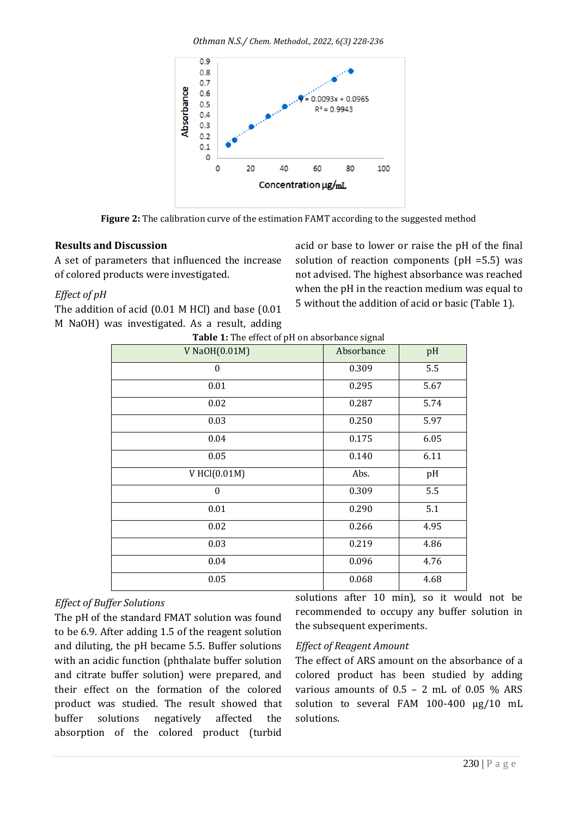*Othman N.S./ Chem. Methodol., 2022, 6(3) 228-236*



**Figure 2:** The calibration curve of the estimation FAMT according to the suggested method

# **Results and Discussion**

A set of parameters that influenced the increase of colored products were investigated.

# *Effect of pH*

The addition of acid (0.01 M HCl) and base (0.01 M NaOH) was investigated. As a result, adding acid or base to lower or raise the pH of the final solution of reaction components (pH =5.5) was not advised. The highest absorbance was reached when the pH in the reaction medium was equal to 5 without the addition of acid or basic (Table 1).

| Table 1: The effect of pH on absorbance signal |            |      |  |  |
|------------------------------------------------|------------|------|--|--|
| V NaOH(0.01M)                                  | Absorbance | pH   |  |  |
| $\mathbf{0}$                                   | 0.309      | 5.5  |  |  |
| 0.01                                           | 0.295      | 5.67 |  |  |
| 0.02                                           | 0.287      | 5.74 |  |  |
| 0.03                                           | 0.250      | 5.97 |  |  |
| 0.04                                           | 0.175      | 6.05 |  |  |
| 0.05                                           | 0.140      | 6.11 |  |  |
| V HCl(0.01M)                                   | Abs.       | pH   |  |  |
| $\boldsymbol{0}$                               | 0.309      | 5.5  |  |  |
| 0.01                                           | 0.290      | 5.1  |  |  |
| 0.02                                           | 0.266      | 4.95 |  |  |
| 0.03                                           | 0.219      | 4.86 |  |  |
| 0.04                                           | 0.096      | 4.76 |  |  |
| 0.05                                           | 0.068      | 4.68 |  |  |

# *Effect of Buffer Solutions*

The pH of the standard FMAT solution was found to be 6.9. After adding 1.5 of the reagent solution and diluting, the pH became 5.5. Buffer solutions with an acidic function (phthalate buffer solution and citrate buffer solution) were prepared, and their effect on the formation of the colored product was studied. The result showed that buffer solutions negatively affected the absorption of the colored product (turbid

solutions after 10 min), so it would not be recommended to occupy any buffer solution in the subsequent experiments.

### *Effect of Reagent Amount*

The effect of ARS amount on the absorbance of a colored product has been studied by adding various amounts of  $0.5 - 2$  mL of  $0.05$  % ARS solution to several FAM 100-400 µg/10 mL solutions.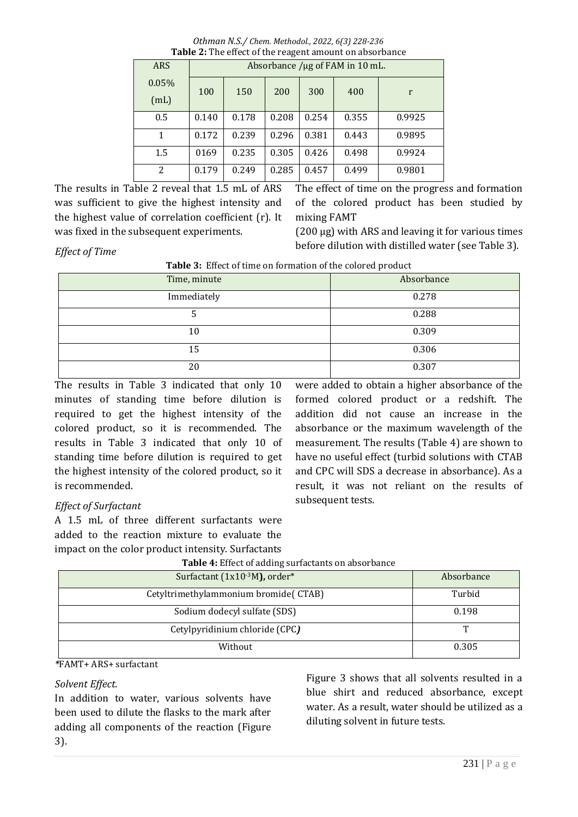*Othman N.S./ Chem. Methodol., 2022, 6(3) 228-236* **Table 2:** The effect of the reagent amount on absorbance

| $\sim$ 0.010 $\sim$ 0.11000 01 0.10 1 0.10 0.110 0.1110 0.11 0.110001100.1100 |       |                                 |       |       |       |        |
|-------------------------------------------------------------------------------|-------|---------------------------------|-------|-------|-------|--------|
| <b>ARS</b>                                                                    |       | Absorbance /µg of FAM in 10 mL. |       |       |       |        |
| 0.05%<br>(mL)                                                                 | 100   | 150                             | 200   | 300   | 400   | r      |
| 0.5                                                                           | 0.140 | 0.178                           | 0.208 | 0.254 | 0.355 | 0.9925 |
| 1                                                                             | 0.172 | 0.239                           | 0.296 | 0.381 | 0.443 | 0.9895 |
| 1.5                                                                           | 0169  | 0.235                           | 0.305 | 0.426 | 0.498 | 0.9924 |
| $\overline{c}$                                                                | 0.179 | 0.249                           | 0.285 | 0.457 | 0.499 | 0.9801 |

The results in Table 2 reveal that 1.5 mL of ARS was sufficient to give the highest intensity and the highest value of correlation coefficient (r). It was fixed in the subsequent experiments.

The effect of time on the progress and formation of the colored product has been studied by mixing FAMT

 $(200 \mu g)$  with ARS and leaving it for various times before dilution with distilled water (see Table 3).

*Effect of Time* 

**Table 3:** Effect of time on formation of the colored product

| Time, minute | Absorbance |
|--------------|------------|
| Immediately  | 0.278      |
| ັ            | 0.288      |
| 10           | 0.309      |
| 15           | 0.306      |
| 20           | 0.307      |

The results in Table 3 indicated that only 10 minutes of standing time before dilution is required to get the highest intensity of the colored product, so it is recommended. The results in Table 3 indicated that only 10 of standing time before dilution is required to get the highest intensity of the colored product, so it is recommended.

were added to obtain a higher absorbance of the formed colored product or a redshift. The addition did not cause an increase in the absorbance or the maximum wavelength of the measurement. The results (Table 4) are shown to have no useful effect (turbid solutions with CTAB and CPC will SDS a decrease in absorbance). As a result, it was not reliant on the results of subsequent tests.

# *Effect of Surfactant*

A 1.5 mL of three different surfactants were added to the reaction mixture to evaluate the impact on the color product intensity. Surfactants

| Surfactant (1x10 <sup>-3</sup> M), order* | Absorbance |
|-------------------------------------------|------------|
| Cetyltrimethylammonium bromide(CTAB)      | Turbid     |
| Sodium dodecyl sulfate (SDS)              | 0.198      |
| Cetylpyridinium chloride (CPC)            | T          |
| Without                                   | 0.305      |

**Table 4:** Effect of adding surfactants on absorbance

*\**FAMT+ ARS+ surfactant

# *Solvent Effect.*

In addition to water, various solvents have been used to dilute the flasks to the mark after adding all components of the reaction (Figure 3).

Figure 3 shows that all solvents resulted in a blue shirt and reduced absorbance, except water. As a result, water should be utilized as a diluting solvent in future tests.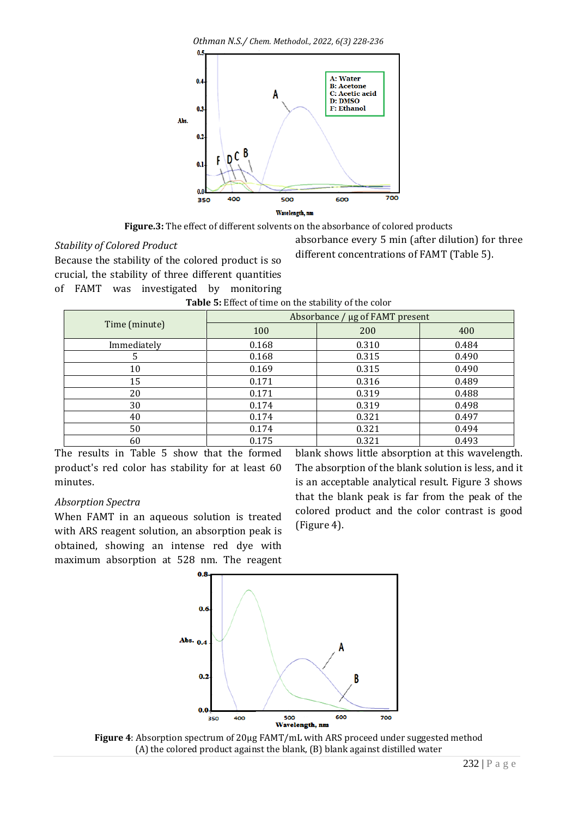*Othman N.S./ Chem. Methodol., 2022, 6(3) 228-236*



**Figure.3:** The effect of different solvents on the absorbance of colored products

### *Stability of Colored Product*

Because the stability of the colored product is so crucial, the stability of three different quantities of FAMT was investigated by monitoring absorbance every 5 min (after dilution) for three different concentrations of FAMT (Table 5).

| <b>Table 5:</b> Effect of time on the stability of the color |
|--------------------------------------------------------------|
|--------------------------------------------------------------|

|               | Absorbance / µg of FAMT present |       |       |  |  |
|---------------|---------------------------------|-------|-------|--|--|
| Time (minute) | 100                             | 200   | 400   |  |  |
| Immediately   | 0.168                           | 0.310 | 0.484 |  |  |
|               | 0.168                           | 0.315 | 0.490 |  |  |
| 10            | 0.169                           | 0.315 | 0.490 |  |  |
| 15            | 0.171                           | 0.316 | 0.489 |  |  |
| 20            | 0.171                           | 0.319 | 0.488 |  |  |
| 30            | 0.174                           | 0.319 | 0.498 |  |  |
| 40            | 0.174                           | 0.321 | 0.497 |  |  |
| 50            | 0.174                           | 0.321 | 0.494 |  |  |
| 60            | 0.175                           | 0.321 | 0.493 |  |  |

The results in Table 5 show that the formed product's red color has stability for at least 60 minutes.

### *Absorption Spectra*

When FAMT in an aqueous solution is treated with ARS reagent solution, an absorption peak is obtained, showing an intense red dye with maximum absorption at 528 nm. The reagent blank shows little absorption at this wavelength. The absorption of the blank solution is less, and it is an acceptable analytical result. Figure 3 shows that the blank peak is far from the peak of the colored product and the color contrast is good (Figure 4).



**Figure 4**: Absorption spectrum of 20µg FAMT/mL with ARS proceed under suggested method (A) the colored product against the blank, (B) blank against distilled water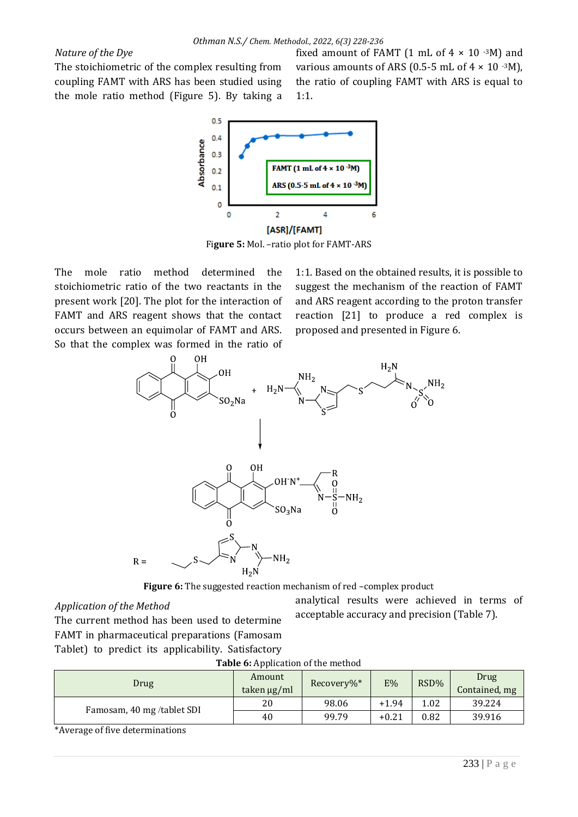### *Nature of the Dye*

The stoichiometric of the complex resulting from coupling FAMT with ARS has been studied using the mole ratio method (Figure 5). By taking a fixed amount of FAMT (1 mL of  $4 \times 10^{-3}$ M) and various amounts of ARS (0.5-5 mL of  $4 \times 10^{-3}$ M), the ratio of coupling FAMT with ARS is equal to 1:1.



Fi**gure 5:** Mol. –ratio plot for FAMT-ARS

The mole ratio method determined the stoichiometric ratio of the two reactants in the present work [20]. The plot for the interaction of FAMT and ARS reagent shows that the contact occurs between an equimolar of FAMT and ARS. So that the complex was formed in the ratio of

1:1. Based on the obtained results, it is possible to suggest the mechanism of the reaction of FAMT and ARS reagent according to the proton transfer reaction [21] to produce a red complex is proposed and presented in Figure 6.



**Figure 6:** The suggested reaction mechanism of red –complex product

#### *Application of the Method*

analytical results were achieved in terms of acceptable accuracy and precision (Table 7).

The current method has been used to determine FAMT in pharmaceutical preparations (Famosam Tablet) to predict its applicability. Satisfactory

| Drug                      | Amount<br>taken µg/ml | Recovery%* | E%      | RSD% | Drug<br>Contained, mg |
|---------------------------|-----------------------|------------|---------|------|-----------------------|
| Famosam, 40 mg/tablet SDI | 20                    | 98.06      | $+1.94$ | 1.02 | 39.224                |
|                           | 40                    | 99.79      | $+0.21$ | 0.82 | 39.916                |

#### **Table 6:** Application of the method

\*Average of five determinations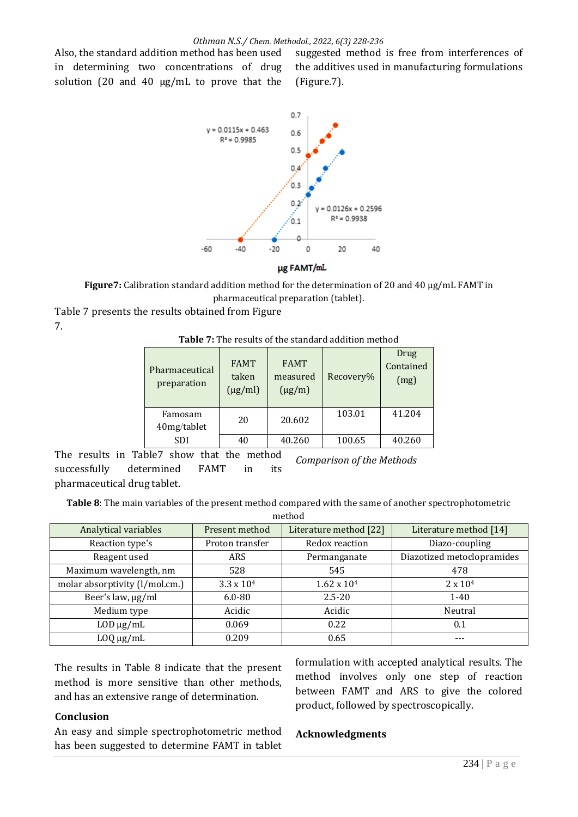Also, the standard addition method has been used in determining two concentrations of drug solution (20 and 40  $\mu$ g/mL to prove that the

suggested method is free from interferences of the additives used in manufacturing formulations (Figure.7).



µg FAMT/mL

**Figure7:** Calibration standard addition method for the determination of 20 and 40 µg/mL FAMT in pharmaceutical preparation (tablet).

Table 7 presents the results obtained from Figure 7.

**Table 7:** The results of the standard addition method

| Pharmaceutical<br>preparation | <b>FAMT</b><br>taken<br>$(\mu g/ml)$ | <b>FAMT</b><br>measured<br>$(\mu g/m)$ | Recovery% | Drug<br>Contained<br>(mg) |
|-------------------------------|--------------------------------------|----------------------------------------|-----------|---------------------------|
| Famosam<br>40mg/tablet        | 20                                   | 20.602                                 | 103.01    | 41.204                    |
| SDI                           | 40                                   | 40.260                                 | 100.65    | 40.260                    |

The results in Table7 show that the method successfully determined FAMT in its pharmaceutical drug tablet. *Comparison of the Methods*

**Table 8**: The main variables of the present method compared with the same of another spectrophotometric

| method                         |                     |                        |                            |  |  |
|--------------------------------|---------------------|------------------------|----------------------------|--|--|
| Analytical variables           | Present method      | Literature method [22] | Literature method [14]     |  |  |
| Reaction type's                | Proton transfer     | Redox reaction         | Diazo-coupling             |  |  |
| Reagent used                   | <b>ARS</b>          | Permanganate           | Diazotized metoclopramides |  |  |
| Maximum wavelength, nm         | 528                 | 545                    | 478                        |  |  |
| molar absorptivity (l/mol.cm.) | $3.3 \times 10^{4}$ | $1.62 \times 10^{4}$   | $2 \times 10^{4}$          |  |  |
| Beer's law, µg/ml              | $6.0 - 80$          | $2.5 - 20$             | $1 - 40$                   |  |  |
| Medium type                    | Acidic              | Acidic                 | Neutral                    |  |  |
| $LOD \mu g/mL$                 | 0.069               | 0.22                   | 0.1                        |  |  |
| $L OQ \mu g/mL$                | 0.209               | 0.65                   |                            |  |  |

The results in Table 8 indicate that the present method is more sensitive than other methods, and has an extensive range of determination*.*

#### **Conclusion**

An easy and simple spectrophotometric method has been suggested to determine FAMT in tablet

#### **Acknowledgments**

formulation with accepted analytical results. The method involves only one step of reaction between FAMT and ARS to give the colored

product, followed by spectroscopically.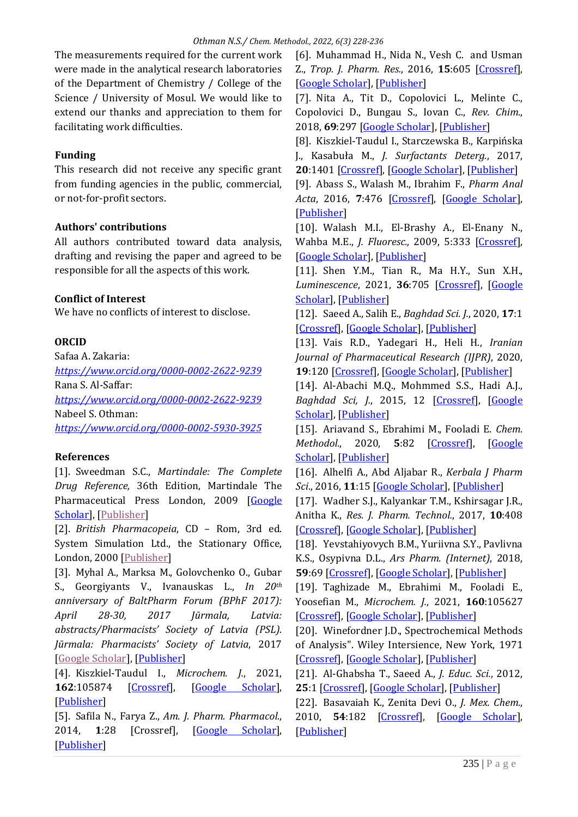The measurements required for the current work were made in the analytical research laboratories of the Department of Chemistry / College of the Science / University of Mosul. We would like to extend our thanks and appreciation to them for facilitating work difficulties.

## **Funding**

This research did not receive any specific grant from funding agencies in the public, commercial, or not-for-profit sectors.

# **Authors' contributions**

All authors contributed toward data analysis, drafting and revising the paper and agreed to be responsible for all the aspects of this work.

# **Conflict of Interest**

We have no conflicts of interest to disclose.

# **ORCID**

Safaa A. Zakaria: *<https://www.orcid.org/0000-0002-2622-9239>* Rana S. Al-Saffar: *<https://www.orcid.org/0000-0002-2622-9239>* Nabeel S. Othman: *<https://www.orcid.org/0000-0002-5930-3925>*

# **References**

[1]. Sweedman S.C., *Martindale: The Complete Drug Reference,* 36th Edition, Martindale The Pharmaceutical Press London, 2009 [\[Google](https://scholar.google.com/scholar?hl=en&as_sdt=0%2C5&q=Martindale%3A+The+Complete+Drug+Reference%2C+36th+Edition&btnG=)  [Scholar\]](https://scholar.google.com/scholar?hl=en&as_sdt=0%2C5&q=Martindale%3A+The+Complete+Drug+Reference%2C+36th+Edition&btnG=), [\[Publisher\]](https://pdfroom.com/books/martindale-the-complete-drug-reference-36th-edition/o75XZYBEgaG)

[2]. *British Pharmacopeia*, CD – Rom, 3rd ed. System Simulation Ltd., the Stationary Office, London, 2000 [\[Publisher\]](https://www.pharmacopoeia.com/)

[3]. Myhal A., Marksa M., Golovchenko O., Gubar S., Georgiyants V., Ivanauskas L., *In 20th anniversary of BaltPharm Forum (BPhF 2017): April 28-30, 2017 Jūrmala, Latvia: abstracts/Pharmacists' Society of Latvia (PSL). Jūrmala: Pharmacists' Society of Latvia*, 2017 [\[Google Scholar\]](https://scholar.google.com/scholar?hl=en&as_sdt=0%2C5&q=Development+and+validation+of+the+UHPLC+method+with+using+of+the+monolithic+column+for+quantitative+determination+of+famotidine+in+tablets&btnG=), [\[Publisher\]](https://www.lsmuni.lt/cris/handle/20.500.12512/19103)

[4]. Kiszkiel-Taudul I., *Microchem. J.*, 2021, **162**:105874 [\[Crossref\]](https://doi.org/10.1016/j.microc.2020.105874), [\[Google Scholar\]](https://scholar.google.com/scholar?hl=en&as_sdt=0%2C5&q=Determination+of+antihistaminic+pharmaceuticals+in+surface+water+samples+by+SPE-LC-MS%2FMS+method&btnG=), [\[Publisher\]](https://www.sciencedirect.com/science/article/abs/pii/S0026265X20338169?via%3Dihub)

[5]. Safila N., Farya Z., *Am. J. Pharm. Pharmacol.*, 2014, **1**:28 [Crossref], [\[Google Scholar\]](https://scholar.google.com/scholar?hl=en&as_sdt=0%2C5&q=UV+spectrophotometric+assay+of+Famotidine+formulations&btnG=), [\[Publisher\]](https://www.researchgate.net/profile/Drsafila-Naveed/publication/267030475_UV_Spectrophotometric_Assay_of_Famotidine_Formulations/links/5544bff30cf24107d396d8ec/UV-Spectrophotometric-Assay-of-Famotidine-Formulations.pdf)

[6]. Muhammad H., Nida N., Vesh C. and Usman Z., *Trop. J. Pharm. Res.*, 2016, **15**:605 [\[Crossref\]](https://doi.org/10.4314/tjpr.v15i3.24), [\[Google Scholar\]](https://scholar.google.com/scholar?hl=en&as_sdt=0%2C5&q=Simultaneous+Determination+of+Famotidine+and+Flurbiprofen+by+High+Performance+Liquid+Chromatography&btnG=), [\[Publisher\]](https://www.ajol.info/index.php/tjpr/article/view/133738)

[7]. Nita A., Tit D., Copolovici L., Melinte C., Copolovici D., Bungau S., Iovan C., *Rev. Chim.*, 2018, **69**:297 [\[Google Scholar\]](https://scholar.google.com/scholar?hl=en&as_sdt=0%2C5&q=HPLC-UV+Method+for+Determination+of+Famotidine+from+Pharmaceutical+Products&btnG=), [\[Publisher\]](http://bch.ro/pdfRC/2%20NITA%20A%202%2018.pdf)

[8]. Kiszkiel-Taudul I., Starczewska B., Karpińska J., Kasabuła M., *J. Surfactants Deterg.*, 2017, **20**:1401 [\[Crossref\]](https://link.springer.com/article/10.1007%2Fs11743-017-2003-3), [\[Google Scholar\]](https://scholar.google.com/scholar?hl=en&as_sdt=0%2C5&q=Application+of+Micellar+Extraction+for+Isolation+of+Famotidine+from+Aqueous+Samples+Prior+to+its+Chromatographic+Determination&btnG=), [\[Publisher\]](https://link.springer.com/article/10.1007%2Fs11743-017-2003-3)

[9]. Abass S., Walash M., Ibrahim F., *Pharm Anal Acta*, 2016, **7**:476 [\[Crossref\]](https://doi.org/10.4172/2153-2435.1000476), [\[Google Scholar\]](https://scholar.google.com/scholar?hl=en&as_sdt=0%2C5&q=Development+and+Validation+of+Spectrophotometric+and+Pre-column+Derivatization+HPLC+Method+for+Determination+of+Famotidine+in+Pharmaceuticals+by+Reaction+with+Sodium+Nitroprusside%3B+Application+to+Combined+Tablets&btnG=), [\[Publisher\]](https://www.walshmedicalmedia.com/open-access/development-and-validation-of-spectrophotometric-and-precolumn-derivatization-hplc-method-for-determination-of-famotidine-in-pharm-2153-2435-1000476.pdf)

[10]. Walash M.I., El-Brashy A., El-Enany N., Wahba M.E., *J. Fluoresc.,* 2009, 5:333 [\[Crossref\]](https://doi.org/10.1007/s10895-008-0421-3), [\[Google Scholar\]](https://scholar.google.com/scholar?hl=en&as_sdt=0%2C5&q=Spectrofluorimetric+Determination+of+Famotidine+in+Pharmaceutical+Preparations+and+Biological+Fluids.+Application+to+Stability+Studies&btnG=), [\[Publisher\]](https://link.springer.com/article/10.1007%2Fs10895-008-0421-3)

[11]. Shen Y.M., Tian R., Ma H.Y., Sun X.H., *Luminescence*, 2021, **36**:705 [\[Crossref\]](https://doi.org/10.1002/bio.3992), [\[Google](https://scholar.google.com/scholar?hl=en&as_sdt=0%2C5&q=A+new+fluorescence+method+for+detection+of+famotidine+based+on+polyethyleneimine-templated+Ag+nanoclusters&btnG=)  [Scholar\]](https://scholar.google.com/scholar?hl=en&as_sdt=0%2C5&q=A+new+fluorescence+method+for+detection+of+famotidine+based+on+polyethyleneimine-templated+Ag+nanoclusters&btnG=), [\[Publisher\]](https://analyticalsciencejournals.onlinelibrary.wiley.com/doi/10.1002/bio.3992)

[12]. Saeed A., Salih E., *Baghdad Sci. J.*, 2020, **17**:1 [\[Crossref\]](https://doi.org/10.21123/bsj.2020.17.1.0066), [\[Google Scholar\]](https://scholar.google.com/scholar?hl=en&as_sdt=0%2C5&q=Indirect+Spectrofluorometric+Method+for+the+Determination+of+Cefotaxime+Sodium%2C+Ciprofloxacin+Hydrochloride+and+Famotidine+in+Pharmaceuticals+Using+Bromate-Bromide+and+Acriflavine+Dye&btnG=), [\[Publisher\]](https://bsj.uobaghdad.edu.iq/index.php/BSJ/article/view/4920)

[13]. Vais R.D., Yadegari H., Heli H., *Iranian Journal of Pharmaceutical Research (IJPR)*, 2020, **19**:120 [\[Crossref\]](https://dx.doi.org/10.22037/ijpr.2019.14257.12245), [\[Google Scholar\]](https://scholar.google.com/scholar?hl=en&as_sdt=0%2C5&q=The+Spectrophotometric+Determination+of+Famotidine+Drug+via+Coupling+with+Diazotized+Metochlopramide+Hydrochloride&btnG=), [\[Publisher\]](http://ijpr.sbmu.ac.ir/article_1100926.html)

[14]. Al-Abachi M.Q., Mohmmed S.S., Hadi A.J., *Baghdad Sci, J.*, 2015, 12 [\[Crossref\]](https://doi.org/10.21123/bsj.12.4.730-739), [\[Google](https://scholar.google.com/scholar?hl=en&as_sdt=0%2C5&q=The+Spectrophotometric+Determination+of+Famotidine+Drug+via+Coupling+with+Diazotized+Metochlopramide+Hydrochloride&btnG=)  [Scholar\]](https://scholar.google.com/scholar?hl=en&as_sdt=0%2C5&q=The+Spectrophotometric+Determination+of+Famotidine+Drug+via+Coupling+with+Diazotized+Metochlopramide+Hydrochloride&btnG=), [\[Publisher\]](https://bsj.uobaghdad.edu.iq/index.php/BSJ/article/view/2121)

[15]. Ariavand S., Ebrahimi M., Fooladi E. *Chem. Methodol.*, 2020, **5**:82 [\[Crossref\]](https://dx.doi.org/10.22034/chemm.2021.119246), [\[Google](https://scholar.google.com/scholar?hl=en&as_sdt=0%2C5&q=The+Simultaneous+Spectrophotometric+Determination+of+Acetaminophen%2C+Celecoxib%2C+Diazepam%2C+and+Famotidine+in+Environmental+Samples+by+Partial+Least+Squares&btnG=)  [Scholar\]](https://scholar.google.com/scholar?hl=en&as_sdt=0%2C5&q=The+Simultaneous+Spectrophotometric+Determination+of+Acetaminophen%2C+Celecoxib%2C+Diazepam%2C+and+Famotidine+in+Environmental+Samples+by+Partial+Least+Squares&btnG=), [\[Publisher\]](http://www.chemmethod.com/article_119246.html)

[16]. Alhelfi A., Abd Aljabar R., *Kerbala J Pharm Sci*., 2016, **11**:15 [\[Google Scholar\]](https://scholar.google.com/scholar?hl=en&as_sdt=0%2C5&q=Anew+spectrophotometric+method+for+determination+of+Famotidine+drug&btnG=), [\[Publisher\]](https://portal.arid.my/Publications/4e958722-edc2-4bce-92fd-7a63b8fbe68b.pdf)

[17]. Wadher S.J., Kalyankar T.M., Kshirsagar J.R., Anitha K., *Res. J. Pharm. Technol.*, 2017, **10**:408 [\[Crossref\]](http://dx.doi.org/10.5958/0974-360X.2017.00082.8), [\[Google Scholar\]](https://scholar.google.com/scholar?hl=en&as_sdt=0%2C5&q=Simultaneous+Determination+of+Famotidine+and+Dicyclomine+HCl+in+combined+Tablet+Dosage+form+by+UV-Spectrophotometer&btnG=), [\[Publisher\]](https://www.indianjournals.com/ijor.aspx?target=ijor:rjpt&volume=10&issue=2&article=009)

[18]. Yevstahiyovych B.M., Yuriivna S.Y., Pavlivna K.S., Osypivna D.L., *Ars Pharm. (Internet)*, 2018, **59**:69 [\[Crossref\]](https://dx.doi.org/10.30827/ars.v59i2.7514), [\[Google Scholar\]](https://scholar.google.com/scholar?hl=en&as_sdt=0%2C5&q=Estudio+cin%C3%A9tico+de+la+reacci%C3%B3n+de+Famotidina+S-oxidaci%C3%B3n+utilizando+caroato+de+potasio.+Desarrollo+y+validaci%C3%B3n+del+m%C3%A9todo+titrim%C3%A9trico+para+la+determinaci%C3%B3n+cuantitativa+de+Famotidina+en+sustancia+pura+y+preparaci%C3%B3n+m%C3%A9dica&btnG=), [\[Publisher\]](https://revistaseug.ugr.es/index.php/ars/article/view/7514)

[19]. Taghizade M., Ebrahimi M., Fooladi E., Yoosefian M., *Microchem. J.*, 2021, **160**:105627 [\[Crossref\]](https://doi.org/10.1016/j.microc.2020.105627), [\[Google Scholar\]](https://scholar.google.com/scholar?hl=en&as_sdt=0%2C5&q=Simultaneous+spectrophotometric+determination+of+the+residual+of+ciprofloxacin%2C+famotidine%2C+and+tramadol+using+magnetic+solid+phase+extraction+coupled+with+multivariate+calibration+methods&btnG=), [\[Publisher\]](https://www.sciencedirect.com/science/article/abs/pii/S0026265X20315356?via%3Dihub)

[20]. Winefordner J.D., Spectrochemical Methods of Analysis". Wiley Intersience, New York, 1971 [\[Crossref\]](https://doi.org/10.1126/science.175.4021.511.a), [\[Google Scholar\]](https://scholar.google.com/scholar?hl=en&as_sdt=0%2C5&q=Analytical+Chemistry%3A+Spectrochemical+Methods+of+Analysis.+Quantitative+Analysis+of+Atoms+and+Molecules.+J.+D.+Winefordner%2C+Ed.+Wiley-Interscience%2C+New+York%2C+1971.+xiv%2C+530+pp.%2C+illus.+%2423.+Advances+in+Analytical+Chemistry+and+Instrumentation%2C+vol.+9.&btnG=), [\[Publisher\]](https://www.science.org/doi/pdf/10.1126/science.175.4021.511.a)

[21]. Al-Ghabsha T., Saeed A., *J. Educ. Sci.*, 2012, **25**:1 [\[Crossref\]](http://dx.doi.org/10.33899/edusj.2012.67685), [\[Google Scholar\]](https://scholar.google.com/scholar?hl=en&as_sdt=0%2C5&q=spectrophotometric+determination+of+amoxicillin+in+pharmaceuticals+using+alizarin+red+sulphonate+in+aqueous+solution&btnG=), [\[Publisher\]](https://edusj.mosuljournals.com/article_67685.html)

[22]. Basavaiah K., Zenita Devi O., *J. Mex. Chem.*, 2010, **54**:182 [\[Crossref\]](https://doi.org/10.29356/jmcs.v54i4.904), [\[Google Scholar\]](https://scholar.google.com/scholar?hl=en&as_sdt=0%2C5&q=Application+of+Oxidizing+Properties+of+Permanganate+to+the+Determination+of+Famotidine+in+Pharmaceutical+Formulations&btnG=), [\[Publisher\]](https://www.jmcs.org.mx/index.php/jmcs/article/view/904)